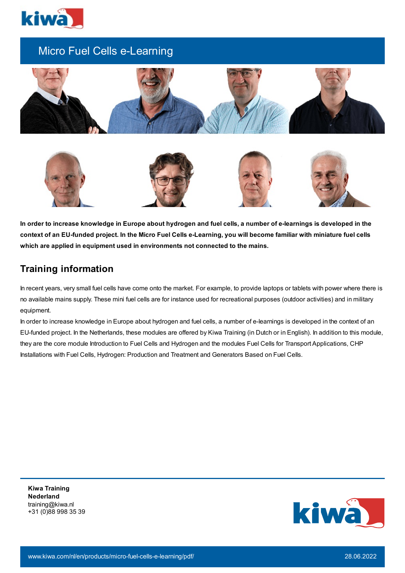

# Micro Fuel Cells e-Learning





In order to increase knowledge in Europe about hydrogen and fuel cells, a number of e-learnings is developed in the context of an EU-funded project. In the Micro Fuel Cells e-Learning, you will become familiar with miniature fuel cells **which are applied in equipment used in environments not connected to the mains.**

## **Training information**

In recent years, very small fuel cells have come onto the market. For example, to provide laptops or tablets with power where there is no available mains supply. These mini fuel cells are for instance used for recreational purposes (outdoor activities) and in military equipment.

In order to increase knowledge in Europe about hydrogen and fuel cells, a number of e-learnings is developed in the context of an EU-funded project. In the Netherlands, these modules are offered by Kiwa Training (in Dutch or in English). In addition to this module, they are the core module Introduction to Fuel Cells and Hydrogen and the modules Fuel Cells for Transport Applications, CHP Installations with Fuel Cells, Hydrogen: Production and Treatment and Generators Based on Fuel Cells.

**Kiwa Training Nederland** training@kiwa.nl +31 (0)88 998 35 39

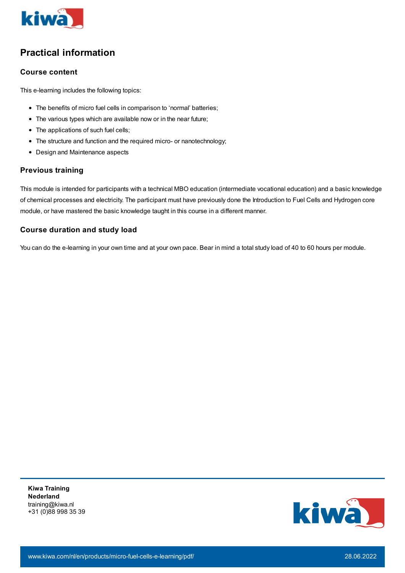

# **Practical information**

### **Course content**

This e-learning includes the following topics:

- The benefits of micro fuel cells in comparison to 'normal' batteries;
- The various types which are available now or in the near future;
- The applications of such fuel cells;
- The structure and function and the required micro- or nanotechnology;
- Design and Maintenance aspects

### **Previous training**

This module is intended for participants with a technical MBO education (intermediate vocational education) and a basic knowledge of chemical processes and electricity. The participant must have previously done the Introduction to Fuel Cells and Hydrogen core module, or have mastered the basic knowledge taught in this course in a different manner.

### **Course duration and study load**

You can do the e-learning in your own time and at your own pace. Bear in mind a total study load of 40 to 60 hours per module.

**Kiwa Training Nederland** training@kiwa.nl +31 (0)88 998 35 39